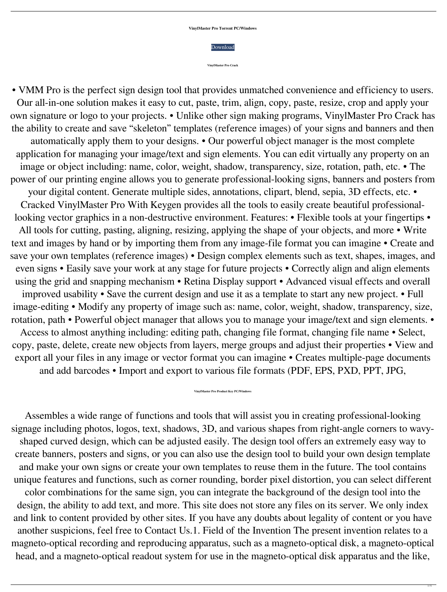## **VinylMaster Pro Torrent PC/Windows**



**VinylMaster Pro Crack**

• VMM Pro is the perfect sign design tool that provides unmatched convenience and efficiency to users. Our all-in-one solution makes it easy to cut, paste, trim, align, copy, paste, resize, crop and apply your own signature or logo to your projects. • Unlike other sign making programs, VinylMaster Pro Crack has the ability to create and save "skeleton" templates (reference images) of your signs and banners and then automatically apply them to your designs. • Our powerful object manager is the most complete application for managing your image/text and sign elements. You can edit virtually any property on an image or object including: name, color, weight, shadow, transparency, size, rotation, path, etc. • The power of our printing engine allows you to generate professional-looking signs, banners and posters from your digital content. Generate multiple sides, annotations, clipart, blend, sepia, 3D effects, etc. • Cracked VinylMaster Pro With Keygen provides all the tools to easily create beautiful professionallooking vector graphics in a non-destructive environment. Features: • Flexible tools at your fingertips • All tools for cutting, pasting, aligning, resizing, applying the shape of your objects, and more • Write text and images by hand or by importing them from any image-file format you can imagine • Create and save your own templates (reference images) • Design complex elements such as text, shapes, images, and even signs • Easily save your work at any stage for future projects • Correctly align and align elements using the grid and snapping mechanism • Retina Display support • Advanced visual effects and overall improved usability • Save the current design and use it as a template to start any new project. • Full image-editing • Modify any property of image such as: name, color, weight, shadow, transparency, size, rotation, path • Powerful object manager that allows you to manage your image/text and sign elements. • Access to almost anything including: editing path, changing file format, changing file name • Select, copy, paste, delete, create new objects from layers, merge groups and adjust their properties • View and export all your files in any image or vector format you can imagine • Creates multiple-page documents and add barcodes • Import and export to various file formats (PDF, EPS, PXD, PPT, JPG,

## **VinylMaster Pro Product Key PC/Windows**

Assembles a wide range of functions and tools that will assist you in creating professional-looking signage including photos, logos, text, shadows, 3D, and various shapes from right-angle corners to wavyshaped curved design, which can be adjusted easily. The design tool offers an extremely easy way to create banners, posters and signs, or you can also use the design tool to build your own design template and make your own signs or create your own templates to reuse them in the future. The tool contains unique features and functions, such as corner rounding, border pixel distortion, you can select different color combinations for the same sign, you can integrate the background of the design tool into the design, the ability to add text, and more. This site does not store any files on its server. We only index and link to content provided by other sites. If you have any doubts about legality of content or you have another suspicions, feel free to Contact Us.1. Field of the Invention The present invention relates to a magneto-optical recording and reproducing apparatus, such as a magneto-optical disk, a magneto-optical head, and a magneto-optical readout system for use in the magneto-optical disk apparatus and the like,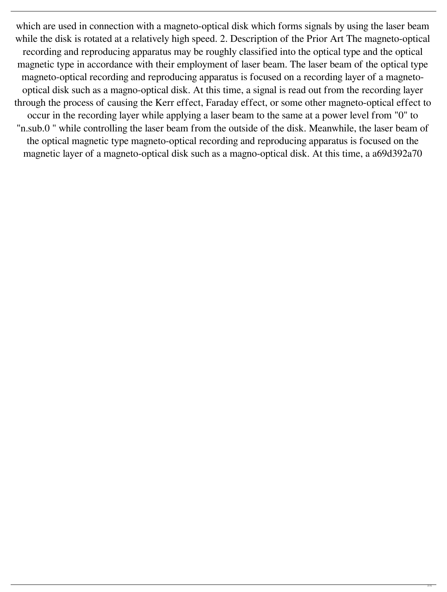which are used in connection with a magneto-optical disk which forms signals by using the laser beam while the disk is rotated at a relatively high speed. 2. Description of the Prior Art The magneto-optical recording and reproducing apparatus may be roughly classified into the optical type and the optical magnetic type in accordance with their employment of laser beam. The laser beam of the optical type magneto-optical recording and reproducing apparatus is focused on a recording layer of a magnetooptical disk such as a magno-optical disk. At this time, a signal is read out from the recording layer through the process of causing the Kerr effect, Faraday effect, or some other magneto-optical effect to occur in the recording layer while applying a laser beam to the same at a power level from "0" to "n.sub.0 " while controlling the laser beam from the outside of the disk. Meanwhile, the laser beam of the optical magnetic type magneto-optical recording and reproducing apparatus is focused on the magnetic layer of a magneto-optical disk such as a magno-optical disk. At this time, a a69d392a70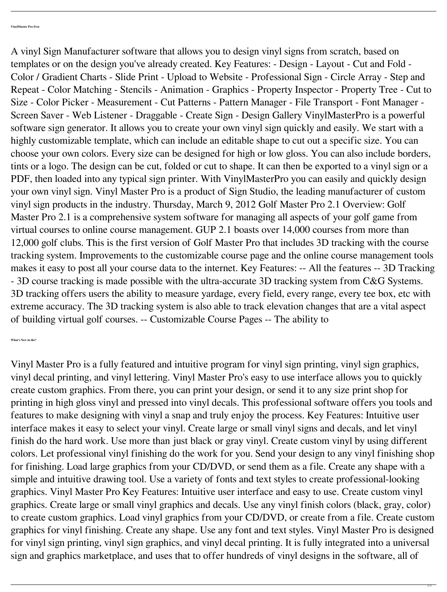A vinyl Sign Manufacturer software that allows you to design vinyl signs from scratch, based on templates or on the design you've already created. Key Features: - Design - Layout - Cut and Fold - Color / Gradient Charts - Slide Print - Upload to Website - Professional Sign - Circle Array - Step and Repeat - Color Matching - Stencils - Animation - Graphics - Property Inspector - Property Tree - Cut to Size - Color Picker - Measurement - Cut Patterns - Pattern Manager - File Transport - Font Manager - Screen Saver - Web Listener - Draggable - Create Sign - Design Gallery VinylMasterPro is a powerful software sign generator. It allows you to create your own vinyl sign quickly and easily. We start with a highly customizable template, which can include an editable shape to cut out a specific size. You can choose your own colors. Every size can be designed for high or low gloss. You can also include borders, tints or a logo. The design can be cut, folded or cut to shape. It can then be exported to a vinyl sign or a PDF, then loaded into any typical sign printer. With VinylMasterPro you can easily and quickly design your own vinyl sign. Vinyl Master Pro is a product of Sign Studio, the leading manufacturer of custom vinyl sign products in the industry. Thursday, March 9, 2012 Golf Master Pro 2.1 Overview: Golf Master Pro 2.1 is a comprehensive system software for managing all aspects of your golf game from virtual courses to online course management. GUP 2.1 boasts over 14,000 courses from more than 12,000 golf clubs. This is the first version of Golf Master Pro that includes 3D tracking with the course tracking system. Improvements to the customizable course page and the online course management tools makes it easy to post all your course data to the internet. Key Features: -- All the features -- 3D Tracking - 3D course tracking is made possible with the ultra-accurate 3D tracking system from C&G Systems. 3D tracking offers users the ability to measure yardage, every field, every range, every tee box, etc with extreme accuracy. The 3D tracking system is also able to track elevation changes that are a vital aspect of building virtual golf courses. -- Customizable Course Pages -- The ability to

**What's New in the?**

Vinyl Master Pro is a fully featured and intuitive program for vinyl sign printing, vinyl sign graphics, vinyl decal printing, and vinyl lettering. Vinyl Master Pro's easy to use interface allows you to quickly create custom graphics. From there, you can print your design, or send it to any size print shop for printing in high gloss vinyl and pressed into vinyl decals. This professional software offers you tools and features to make designing with vinyl a snap and truly enjoy the process. Key Features: Intuitive user interface makes it easy to select your vinyl. Create large or small vinyl signs and decals, and let vinyl finish do the hard work. Use more than just black or gray vinyl. Create custom vinyl by using different colors. Let professional vinyl finishing do the work for you. Send your design to any vinyl finishing shop for finishing. Load large graphics from your CD/DVD, or send them as a file. Create any shape with a simple and intuitive drawing tool. Use a variety of fonts and text styles to create professional-looking graphics. Vinyl Master Pro Key Features: Intuitive user interface and easy to use. Create custom vinyl graphics. Create large or small vinyl graphics and decals. Use any vinyl finish colors (black, gray, color) to create custom graphics. Load vinyl graphics from your CD/DVD, or create from a file. Create custom graphics for vinyl finishing. Create any shape. Use any font and text styles. Vinyl Master Pro is designed for vinyl sign printing, vinyl sign graphics, and vinyl decal printing. It is fully integrated into a universal sign and graphics marketplace, and uses that to offer hundreds of vinyl designs in the software, all of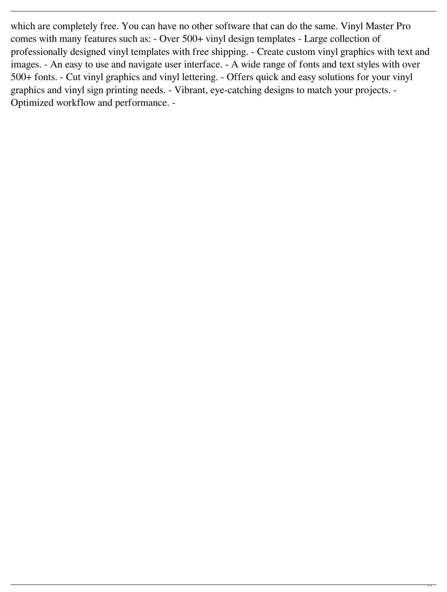which are completely free. You can have no other software that can do the same. Vinyl Master Pro comes with many features such as: - Over 500+ vinyl design templates - Large collection of professionally designed vinyl templates with free shipping. - Create custom vinyl graphics with text and images. - An easy to use and navigate user interface. - A wide range of fonts and text styles with over 500+ fonts. - Cut vinyl graphics and vinyl lettering. - Offers quick and easy solutions for your vinyl graphics and vinyl sign printing needs. - Vibrant, eye-catching designs to match your projects. - Optimized workflow and performance. -